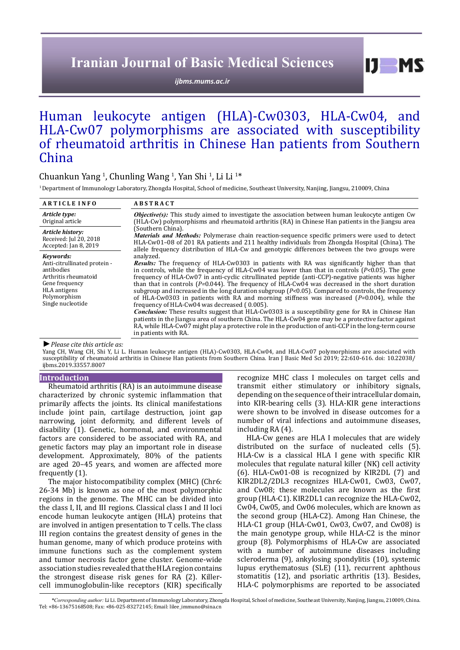# **Iranian Journal of Basic Medical Sciences**

*[ijbms.mums.ac.ir](http://ijbms.mums.ac.ir)*

# Human leukocyte antigen (HLA)-Cw0303, HLA-Cw04, and HLA-Cw07 polymorphisms are associated with susceptibility of rheumatoid arthritis in Chinese Han patients from Southern China

## Chuankun Yang <sup>1</sup>, Chunling Wang <sup>1</sup>, Yan Shi <sup>1</sup>, Li Li <sup>1</sup>\*

1 Department of Immunology Laboratory, Zhongda Hospital, School of medicine, Southeast University, Nanjing, Jiangsu, 210009, China

| <b>ARTICLE INFO</b>                                                                                                                                           | <b>ABSTRACT</b>                                                                                                                                                                                                                                                                                                                                                                                                                                                                                                                                                                                                                                                                                                                                                                                                                                                                                                                                                                                                                          |
|---------------------------------------------------------------------------------------------------------------------------------------------------------------|------------------------------------------------------------------------------------------------------------------------------------------------------------------------------------------------------------------------------------------------------------------------------------------------------------------------------------------------------------------------------------------------------------------------------------------------------------------------------------------------------------------------------------------------------------------------------------------------------------------------------------------------------------------------------------------------------------------------------------------------------------------------------------------------------------------------------------------------------------------------------------------------------------------------------------------------------------------------------------------------------------------------------------------|
| Article type:<br>Original article                                                                                                                             | <b><i>Objective(s)</i></b> : This study aimed to investigate the association between human leukocyte antigen Cw<br>(HLA-Cw) polymorphisms and rheumatoid arthritis (RA) in Chinese Han patients in the Jiangsu area                                                                                                                                                                                                                                                                                                                                                                                                                                                                                                                                                                                                                                                                                                                                                                                                                      |
| Article history:<br>Received: Jul 20, 2018<br>Accepted: Jan 8, 2019                                                                                           | (Southern China).<br><b>Materials and Methods:</b> Polymerase chain reaction-sequence specific primers were used to detect<br>HLA-Cw01–08 of 201 RA patients and 211 healthy individuals from Zhongda Hospital (China). The<br>allele frequency distribution of HLA-Cw and genotypic differences between the two groups were                                                                                                                                                                                                                                                                                                                                                                                                                                                                                                                                                                                                                                                                                                             |
| Kevwords:<br>Anti-citrullinated protein -<br>antibodies<br>Arthritis rheumatoid<br>Gene frequency<br><b>HLA</b> antigens<br>Polymorphism<br>Single nucleotide | analyzed.<br>Results: The frequency of HLA-Cw0303 in patients with RA was significantly higher than that<br>in controls, while the frequency of HLA-Cw04 was lower than that in controls ( $P<0.05$ ). The gene<br>frequency of HLA-Cw07 in anti-cyclic citrullinated peptide (anti-CCP)-negative patients was higher<br>than that in controls $(P=0.044)$ . The frequency of HLA-Cw04 was decreased in the short duration<br>subgroup and increased in the long duration subgroup $(P<0.05)$ . Compared to controls, the frequency<br>of HLA-Cw0303 in patients with RA and morning stiffness was increased $(P=0.004)$ , while the<br>frequency of HLA-Cw04 was decreased (0.005).<br><b>Conclusion:</b> These results suggest that HLA-Cw0303 is a susceptibility gene for RA in Chinese Han<br>patients in the Jiangsu area of southern China. The HLA-Cw04 gene may be a protective factor against<br>RA, while HLA-Cw07 might play a protective role in the production of anti-CCP in the long-term course<br>in patients with RA. |

*►Please cite this article as:*

Yang CH, Wang CH, Shi Y, Li L. Human leukocyte antigen (HLA)-Cw0303, HLA-Cw04, and HLA-Cw07 polymorphisms are associated with susceptibility of rheumatoid arthritis in Chinese Han patients from Southern China. Iran J Basic Med Sci 2019; 22:610-616. doi: 10.22038/ ijbms.2019.33557.8007

#### **Introduction**

Rheumatoid arthritis (RA) is an autoimmune disease characterized by chronic systemic inflammation that primarily affects the joints. Its clinical manifestations include joint pain, cartilage destruction, joint gap narrowing, joint deformity, and different levels of disability (1). Genetic, hormonal, and environmental factors are considered to be associated with RA, and genetic factors may play an important role in disease development. Approximately, 80% of the patients are aged 20–45 years, and women are affected more frequently (1).

The major histocompatibility complex (MHC) (Chr6: 26-34 Mb) is known as one of the most polymorphic regions in the genome. The MHC can be divided into the class I, II, and III regions. Classical class I and II loci encode human leukocyte antigen (HLA) proteins that are involved in antigen presentation to T cells. The class III region contains the greatest density of genes in the human genome, many of which produce proteins with immune functions such as the complement system and tumor necrosis factor gene cluster. Genome-wide association studies revealed that the HLA region contains the strongest disease risk genes for RA (2). Killercell immunoglobulin-like receptors (KIR) specifically

recognize MHC class I molecules on target cells and transmit either stimulatory or inhibitory signals, depending on the sequence of their intracellular domain, into KIR-bearing cells (3). HLA-KIR gene interactions were shown to be involved in disease outcomes for a number of viral infections and autoimmune diseases, including RA (4).

 $I$   $I$   $M$   $S$ 

HLA-Cw genes are HLA I molecules that are widely distributed on the surface of nucleated cells (5). HLA-Cw is a classical HLA I gene with specific KIR molecules that regulate natural killer (NK) cell activity (6). HLA-Cw01-08 is recognized by KIR2DL (7) and KIR2DL2/2DL3 recognizes HLA-Cw01, Cw03, Cw07, and Cw08; these molecules are known as the first group (HLA-C1). KIR2DL1 can recognize the HLA-Cw02, Cw04, Cw05, and Cw06 molecules, which are known as the second group (HLA-C2). Among Han Chinese, the HLA-C1 group (HLA-Cw01, Cw03, Cw07, and Cw08) is the main genotype group, while HLA-C2 is the minor group (8). Polymorphisms of HLA-Cw are associated with a number of autoimmune diseases including scleroderma (9), ankylosing spondylitis (10), systemic lupus erythematosus (SLE) (11), recurrent aphthous stomatitis (12), and psoriatic arthritis (13). Besides, HLA-C polymorphisms are reported to be associated

*\*Corresponding author:* Li Li. Department of Immunology Laboratory, Zhongda Hospital, School of medicine, Southeast University, Nanjing, Jiangsu, 210009, China. Tel: +86-13675168508; Fax: +86-025-83272145; Email: lilee\_immuno@sina.cn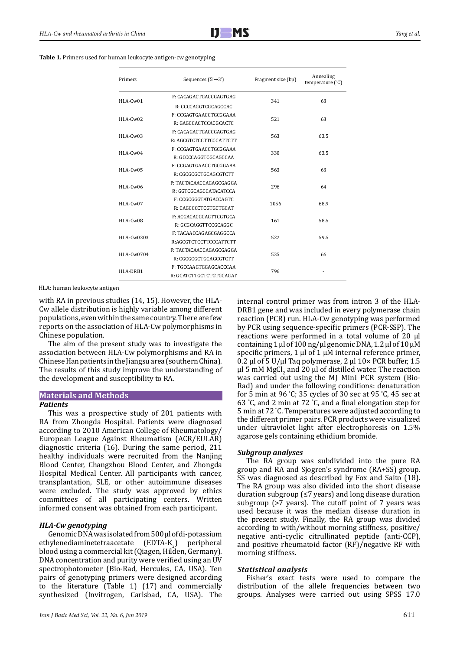#### **Table 1.** Primers used for human leukocyte antigen-cw genotyping

| Primers    | Sequences $(5' \rightarrow 3')$ | Fragment size (bp)                                                         | Annealing<br>temperature (°C) |
|------------|---------------------------------|----------------------------------------------------------------------------|-------------------------------|
| HLA-Cw01   | F: CACAGACTGACCGAGTGAG          |                                                                            | 63                            |
|            | R: CCCCAGGTCGCAGCCAC            |                                                                            |                               |
| $HLA-Cw02$ | F: CCGAGTGAACCTGCGGAAA          |                                                                            |                               |
|            | R: GAGCCACTCCACGCACTC           |                                                                            |                               |
|            | F: CACAGACTGACCGAGTGAG          |                                                                            |                               |
| $HLA-Cw03$ | R: AGCGTCTCCTTCCCATTCTT         | 341<br>521<br>563<br>330<br>563<br>296<br>1056<br>161<br>522<br>535<br>796 |                               |
|            | F: CCGAGTGAACCTGCGGAAA          |                                                                            |                               |
| $HLA-Cw04$ | R: GCCCCAGGTCGCAGCCAA           |                                                                            |                               |
| HLA-Cw05   | F: CCGAGTGAACCTGCGGAAA          |                                                                            |                               |
|            | R: CGCGCGCTGCAGCGTCTT           |                                                                            |                               |
| HLA-Cw06   | F: TACTACAACCAGAGCGAGGA         |                                                                            |                               |
|            | R: GGTCGCAGCCATACATCCA          |                                                                            |                               |
| HLA-Cw07   | F: CCGCGGGTATGACCAGTC           |                                                                            | 68.9                          |
|            | R: CAGCCCCTCGTGCTGCAT           |                                                                            |                               |
| HLA-Cw08   | F: ACGACACGCAGTTCGTGCA          |                                                                            |                               |
|            | R: GCGCAGGTTCCGCAGGC            |                                                                            |                               |
| HLA-Cw0303 | F: TACAACCAGAGCGAGGCCA          |                                                                            |                               |
|            | R:AGCGTCTCCTTCCCATTCTT          |                                                                            |                               |
| HLA-Cw0704 | F: TACTACAACCAGAGCGAGGA         |                                                                            | 66                            |
|            | R: CGCGCGCTGCAGCGTCTT           |                                                                            |                               |
| HLA-DRB1   | F: TGCCAAGTGGAGCACCCAA          |                                                                            |                               |
|            | R: GCATCTTGCTCTGTGCAGAT         | 63<br>63.5<br>63.5<br>63<br>64<br>58.5<br>59.5                             |                               |

HLA: human leukocyte antigen

with RA in previous studies (14, 15). However, the HLA-Cw allele distribution is highly variable among different populations, even within the same country. There are few reports on the association of HLA-Cw polymorphisms in Chinese population.

The aim of the present study was to investigate the association between HLA-Cw polymorphisms and RA in Chinese Han patients in the Jiangsu area (southern China). The results of this study improve the understanding of the development and susceptibility to RA.

#### **Materials and Methods**

#### *Patients*

This was a prospective study of 201 patients with RA from Zhongda Hospital. Patients were diagnosed according to 2010 American College of Rheumatology/ European League Against Rheumatism (ACR/EULAR) diagnostic criteria (16). During the same period, 211 healthy individuals were recruited from the Nanjing Blood Center, Changzhou Blood Center, and Zhongda Hospital Medical Center. All participants with cancer, transplantation, SLE, or other autoimmune diseases were excluded. The study was approved by ethics committees of all participating centers. Written informed consent was obtained from each participant.

## *HLA-Cw genotyping*

Genomic DNA was isolated from 500 µl of di-potassium ethylenediaminetetraacetate (EDTA-K<sub>2</sub>) peripheral blood using a commercial kit (Qiagen, Hilden, Germany). DNA concentration and purity were verified using an UV spectrophotometer (Bio-Rad, Hercules, CA, USA). Ten pairs of genotyping primers were designed according to the literature (Table 1) (17) and commercially synthesized (Invitrogen, Carlsbad, CA, USA). The

internal control primer was from intron 3 of the HLA-DRB1 gene and was included in every polymerase chain reaction (PCR) run. HLA-Cw genotyping was performed by PCR using sequence-specific primers (PCR-SSP). The reactions were performed in a total volume of 20 μl containing 1 μl of 100 ng/μl genomic DNA, 1.2 μl of 10 μM specific primers, 1 μl of 1 μM internal reference primer, 0.2 μl of 5 U/μl Taq polymerase, 2 μl  $10\times$  PCR buffer, 1.5 μl 5 mM MgCl<sub>2</sub> and 20 μl of distilled water. The reaction was carried out using the MJ Mini PCR system (Bio-Rad) and under the following conditions: denaturation for 5 min at 96 ° C; 35 cycles of 30 sec at 95 ° C, 45 sec at 63 ° C, and 2 min at 72 ° C, and a final elongation step for 5 min at 72 ° C. Temperatures were adjusted according to the different primer pairs. PCR products were visualized under ultraviolet light after electrophoresis on 1.5% agarose gels containing ethidium bromide.

## *Subgroup analyses*

The RA group was subdivided into the pure RA group and RA and Sjogren's syndrome (RA+SS) group. SS was diagnosed as described by Fox and Saito (18). The RA group was also divided into the short disease duration subgroup (≤7 years) and long disease duration 1 subgroup (>7 years). The cutoff point of 7 years was used because it was the median disease duration in the present study. Finally, the RA group was divided according to with/without morning stiffness, positive/ negative anti-cyclic citrullinated peptide (anti-CCP), and positive rheumatoid factor (RF)/negative RF with morning stiffness.

#### *Statistical analysis*

Fisher's exact tests were used to compare the distribution of the allele frequencies between two groups. Analyses were carried out using SPSS 17.0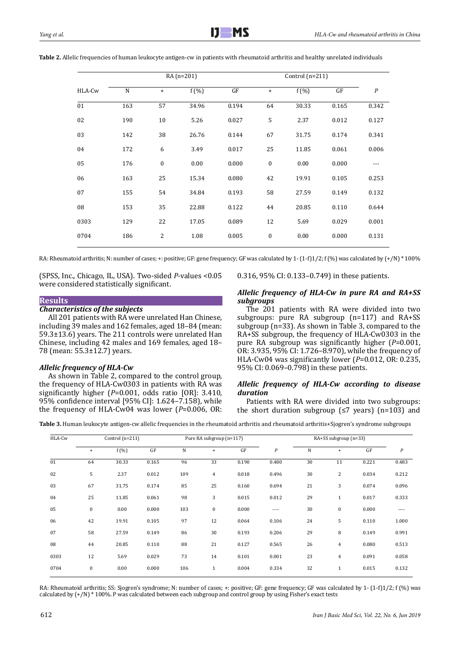|        |           |                  | RA (n=201) |       |                                  | Control $(n=211)$ |       |                  |
|--------|-----------|------------------|------------|-------|----------------------------------|-------------------|-------|------------------|
| HLA-Cw | ${\bf N}$ | $\ddot{}$        | $f(\%)$    | GF    | $\begin{array}{c} + \end{array}$ | $f(\%)$           | GF    | $\boldsymbol{P}$ |
| 01     | 163       | 57               | 34.96      | 0.194 | 64                               | 30.33             | 0.165 | 0.342            |
| 02     | 190       | 10               | 5.26       | 0.027 | 5                                | 2.37              | 0.012 | 0.127            |
| 03     | 142       | 38               | 26.76      | 0.144 | 67                               | 31.75             | 0.174 | 0.341            |
| 04     | 172       | 6                | 3.49       | 0.017 | 25                               | 11.85             | 0.061 | 0.006            |
| 05     | 176       | $\boldsymbol{0}$ | 0.00       | 0.000 | $\boldsymbol{0}$                 | 0.00              | 0.000 | ---              |
| 06     | 163       | 25               | 15.34      | 0.080 | 42                               | 19.91             | 0.105 | 0.253            |
| 07     | 155       | 54               | 34.84      | 0.193 | 58                               | 27.59             | 0.149 | 0.132            |
| 08     | 153       | 35               | 22.88      | 0.122 | 44                               | 20.85             | 0.110 | 0.644            |
| 0303   | 129       | 22               | 17.05      | 0.089 | 12                               | 5.69              | 0.029 | 0.001            |
| 0704   | 186       | 2                | 1.08       | 0.005 | $\boldsymbol{0}$                 | 0.00              | 0.000 | 0.131            |
|        |           |                  |            |       |                                  |                   |       |                  |

**Table 2.** Allelic frequencies of human leukocyte antigen-cw in patients with rheumatoid arthritis and healthy unrelated individuals

RA: Rheumatoid arthritis; N: number of cases; +: positive; GF: gene frequency; GF was calculated by 1- (1-f)1/2; f (%) was calculated by  $(+/N)$  \* 100%

(SPSS, Inc., Chicago, IL, USA). Two-sided *P*-values <0.05 were considered statistically significant.

0.316, 95% CI: 0.133–0.749) in these patients.

### **Results** *Characteristics of the subjects*

All 201 patients with RA were unrelated Han Chinese, including 39 males and 162 females, aged 18–84 (mean: 59.3±13.6) years. The 211 controls were unrelated Han Chinese, including 42 males and 169 females, aged 18– 78 (mean: 55.3±12.7) years.

## *Allelic frequency of HLA-Cw*

As shown in Table 2, compared to the control group, the frequency of HLA-Cw0303 in patients with RA was significantly higher (*P*=0.001, odds ratio [OR]: 3.410, 95% confidence interval [95% CI]: 1.624–7.158), while the frequency of HLA-Cw04 was lower (*P*=0.006, OR:

## *Allelic frequency of HLA-Cw in pure RA and RA+SS subgroups*

The 201 patients with RA were divided into two subgroups: pure RA subgroup (n=117) and RA+SS subgroup (n=33). As shown in Table 3, compared to the RA+SS subgroup, the frequency of HLA-Cw0303 in the pure RA subgroup was significantly higher (*P*=0.001, OR: 3.935, 95% CI: 1.726–8.970), while the frequency of HLA-Cw04 was significantly lower (*P*=0.012, OR: 0.235, 95% CI: 0.069–0.798) in these patients.

## *Allelic frequency of HLA-Cw according to disease duration*

Patients with RA were divided into two subgroups: the short duration subgroup  $(≤7 \text{ years})$  (n=103) and

**Table 3.** Human leukocyte antigen-cw allelic frequencies in the rheumatoid arthritis and rheumatoid arthritis+Sjogren's syndrome subgroups

| HLA-Cw |           | Control $(n=211)$ |       |     | Pure RA subgroup (n=117) |       |                  | RA+SS subgroup (n=33) |                |       |                  |
|--------|-----------|-------------------|-------|-----|--------------------------|-------|------------------|-----------------------|----------------|-------|------------------|
|        | $\ddot{}$ | f(%)              | GF    | N   | $\ddot{}$                | GF    | $\boldsymbol{P}$ | N                     | $\ddot{}$      | GF    | $\boldsymbol{P}$ |
| 01     | 64        | 30.33             | 0.165 | 96  | 33                       | 0.190 | 0.480            | 30                    | 11             | 0.221 | 0.483            |
| 02     | 5         | 2.37              | 0.012 | 109 | $\overline{4}$           | 0.018 | 0.496            | 30                    | $\overline{2}$ | 0.034 | 0.212            |
| 03     | 67        | 31.75             | 0.174 | 85  | 25                       | 0.160 | 0.694            | 21                    | 3              | 0.074 | 0.096            |
| 04     | 25        | 11.85             | 0.061 | 98  | 3                        | 0.015 | 0.012            | 29                    | $\mathbf{1}$   | 0.017 | 0.333            |
| 05     | $\bf{0}$  | 0.00              | 0.000 | 103 | $\bf{0}$                 | 0.000 | $---$            | 30                    | $\bf{0}$       | 0.000 | $---$            |
| 06     | 42        | 19.91             | 0.105 | 97  | 12                       | 0.064 | 0.106            | 24                    | 5              | 0.110 | 1.000            |
| 07     | 58        | 27.59             | 0.149 | 86  | 30                       | 0.193 | 0.206            | 29                    | 8              | 0.149 | 0.991            |
| 08     | 44        | 20.85             | 0.110 | 88  | 21                       | 0.127 | 0.565            | 26                    | $\overline{4}$ | 0.080 | 0.513            |
| 0303   | 12        | 5.69              | 0.029 | 73  | 14                       | 0.101 | 0.001            | 23                    | $\overline{4}$ | 0.091 | 0.058            |
| 0704   | $\bf{0}$  | 0.00              | 0.000 | 106 | $\mathbf{1}$             | 0.004 | 0.334            | 32                    | $\mathbf{1}$   | 0.015 | 0.132            |

RA: Rheumatoid arthritis; SS: Sjogren's syndrome; N: number of cases; +: positive; GF: gene frequency; GF was calculated by 1- (1-f)1/2; f (%) was calculated by (+/N) \* 100%. P was calculated between each subgroup and control group by using Fisher's exact tests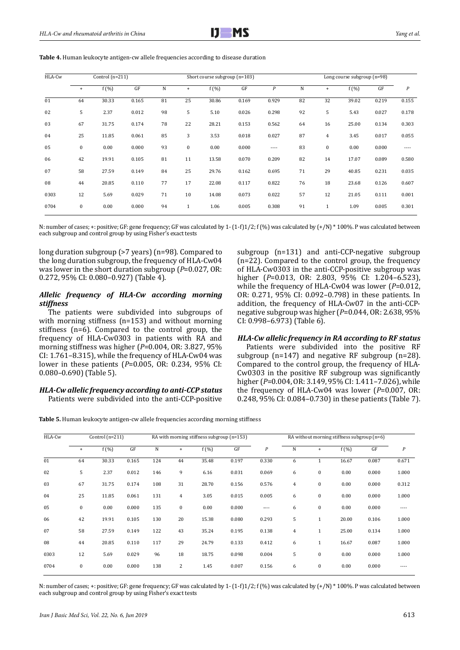| HLA-Cw |              | Control $(n=211)$ |       |    |              | Short course subgroup $(n=103)$ |       |                  |    | Long course subgroup (n=98) |       |       |                  |  |
|--------|--------------|-------------------|-------|----|--------------|---------------------------------|-------|------------------|----|-----------------------------|-------|-------|------------------|--|
|        | $+$          | $f(\%)$           | GF    | N  | $\ddot{}$    | $f(\%)$                         | GF    | $\boldsymbol{P}$ | N  | $\ddot{}$                   | f(%)  | GF    | $\boldsymbol{P}$ |  |
| 01     | 64           | 30.33             | 0.165 | 81 | 25           | 30.86                           | 0.169 | 0.929            | 82 | 32                          | 39.02 | 0.219 | 0.155            |  |
| 02     | 5            | 2.37              | 0.012 | 98 | 5            | 5.10                            | 0.026 | 0.298            | 92 | 5                           | 5.43  | 0.027 | 0.178            |  |
| 03     | 67           | 31.75             | 0.174 | 78 | 22           | 28.21                           | 0.153 | 0.562            | 64 | 16                          | 25.00 | 0.134 | 0.303            |  |
| 04     | 25           | 11.85             | 0.061 | 85 | 3            | 3.53                            | 0.018 | 0.027            | 87 | $\overline{4}$              | 3.45  | 0.017 | 0.055            |  |
| 05     | $\mathbf{0}$ | 0.00              | 0.000 | 93 | $\bf{0}$     | 0.00                            | 0.000 | ----             | 83 | $\bf{0}$                    | 0.00  | 0.000 | ----             |  |
| 06     | 42           | 19.91             | 0.105 | 81 | 11           | 13.58                           | 0.070 | 0.209            | 82 | 14                          | 17.07 | 0.089 | 0.580            |  |
| 07     | 58           | 27.59             | 0.149 | 84 | 25           | 29.76                           | 0.162 | 0.695            | 71 | 29                          | 40.85 | 0.231 | 0.035            |  |
| 08     | 44           | 20.85             | 0.110 | 77 | 17           | 22.08                           | 0.117 | 0.822            | 76 | 18                          | 23.68 | 0.126 | 0.607            |  |
| 0303   | 12           | 5.69              | 0.029 | 71 | 10           | 14.08                           | 0.073 | 0.022            | 57 | 12                          | 21.05 | 0.111 | 0.001            |  |
| 0704   | $\mathbf{0}$ | 0.00              | 0.000 | 94 | $\mathbf{1}$ | 1.06                            | 0.005 | 0.308            | 91 | $\mathbf{1}$                | 1.09  | 0.005 | 0.301            |  |

**Table 4.** Human leukocyte antigen-cw allele frequencies according to disease duration

N: number of cases; +: positive; GF: gene frequency; GF was calculated by 1- (1-f)1/2; f (%) was calculated by  $(+/N)$  \* 100%. P was calculated between each subgroup and control group by using Fisher's exact tests

long duration subgroup (>7 years) (n=98). Compared to the long duration subgroup, the frequency of HLA-Cw04 was lower in the short duration subgroup (*P*=0.027, OR: 0.272, 95% CI: 0.080–0.927) (Table 4).

## *Allelic frequency of HLA-Cw according morning stiffness*

The patients were subdivided into subgroups of with morning stiffness (n=153) and without morning stiffness (n=6). Compared to the control group, the frequency of HLA-Cw0303 in patients with RA and morning stiffness was higher (*P*=0.004, OR: 3.827, 95% CI: 1.761–8.315), while the frequency of HLA-Cw04 was lower in these patients (*P*=0.005, OR: 0.234, 95% CI: 0.080–0.690) (Table 5).

## *HLA-Cw allelic frequency according to anti-CCP status* Patients were subdivided into the anti-CCP-positive

subgroup (n=131) and anti-CCP-negative subgroup (n=22). Compared to the control group, the frequency of HLA-Cw0303 in the anti-CCP-positive subgroup was higher (*P*=0.013, OR: 2.803, 95% CI: 1.204–6.523), while the frequency of HLA-Cw04 was lower (*P*=0.012, OR: 0.271, 95% CI: 0.092–0.798) in these patients. In addition, the frequency of HLA-Cw07 in the anti-CCPnegative subgroup was higher (*P*=0.044, OR: 2.638, 95% CI: 0.998–6.973) (Table 6).

## *HLA-Cw allelic frequency in RA according to RF status*

Patients were subdivided into the positive RF subgroup (n=147) and negative RF subgroup (n=28). Compared to the control group, the frequency of HLA-Cw0303 in the positive RF subgroup was significantly higher (*P*=0.004, OR: 3.149, 95% CI: 1.411–7.026), while the frequency of HLA-Cw04 was lower (*P*=0.007, OR: 0.248, 95% CI: 0.084–0.730) in these patients (Table 7).

**Table 5.** Human leukocyte antigen-cw allele frequencies according morning stiffness

| HLA-Cw | Control $(n=211)$ |         |       |     |                | RA with morning stiffness subgroup (n=153) |       |                  | RA without morning stiffness subgroup (n=6) |              |         |       |                  |
|--------|-------------------|---------|-------|-----|----------------|--------------------------------------------|-------|------------------|---------------------------------------------|--------------|---------|-------|------------------|
|        | $+$               | $f(\%)$ | GF    | N   | $+$            | $f(\%)$                                    | GF    | $\boldsymbol{P}$ | N                                           | $\ddot{}$    | $f(\%)$ | GF    | $\boldsymbol{P}$ |
| 01     | 64                | 30.33   | 0.165 | 124 | 44             | 35.48                                      | 0.197 | 0.330            | 6                                           | 1            | 16.67   | 0.087 | 0.671            |
| 02     | 5                 | 2.37    | 0.012 | 146 | 9              | 6.16                                       | 0.031 | 0.069            | 6                                           | $\bf{0}$     | 0.00    | 0.000 | 1.000            |
| 03     | 67                | 31.75   | 0.174 | 108 | 31             | 28.70                                      | 0.156 | 0.576            | $\overline{4}$                              | $\bf{0}$     | 0.00    | 0.000 | 0.312            |
| 04     | 25                | 11.85   | 0.061 | 131 | 4              | 3.05                                       | 0.015 | 0.005            | 6                                           | $\bf{0}$     | 0.00    | 0.000 | 1.000            |
| 05     | $\bf{0}$          | 0.00    | 0.000 | 135 | $\bf{0}$       | 0.00                                       | 0.000 | ----             | 6                                           | $\bf{0}$     | 0.00    | 0.000 | $---$            |
| 06     | 42                | 19.91   | 0.105 | 130 | 20             | 15.38                                      | 0.080 | 0.293            | 5                                           | $\mathbf{1}$ | 20.00   | 0.106 | 1.000            |
| 07     | 58                | 27.59   | 0.149 | 122 | 43             | 35.24                                      | 0.195 | 0.138            | $\overline{4}$                              | $\mathbf{1}$ | 25.00   | 0.134 | 1.000            |
| 08     | 44                | 20.85   | 0.110 | 117 | 29             | 24.79                                      | 0.133 | 0.412            | 6                                           | $\mathbf{1}$ | 16.67   | 0.087 | 1.000            |
| 0303   | 12                | 5.69    | 0.029 | 96  | 18             | 18.75                                      | 0.098 | 0.004            | 5                                           | $\bf{0}$     | 0.00    | 0.000 | 1.000            |
| 0704   | $\bf{0}$          | 0.00    | 0.000 | 138 | $\overline{c}$ | 1.45                                       | 0.007 | 0.156            | 6                                           | $\bf{0}$     | 0.00    | 0.000 | ----             |

N: number of cases; +: positive; GF: gene frequency; GF was calculated by 1- (1-f)1/2; f (%) was calculated by  $(+/N)$  \* 100%. P was calculated between each subgroup and control group by using Fisher's exact tests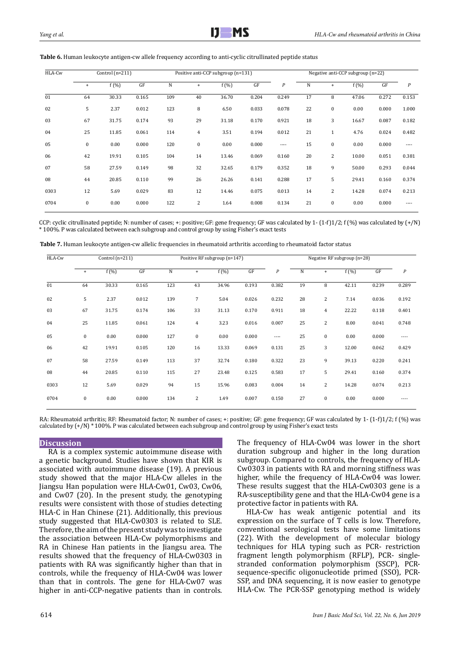| HLA-Cw | Control $(n=211)$ |         |       |             | Positive anti-CCP subgroup (n=131) |         | Negative anti-CCP subgroup (n=22) |       |    |              |         |       |       |
|--------|-------------------|---------|-------|-------------|------------------------------------|---------|-----------------------------------|-------|----|--------------|---------|-------|-------|
|        | $+$               | $f(\%)$ | GF    | $\mathbf N$ | $^{+}$                             | $f(\%)$ | GF                                | P     | N  | $\ddot{}$    | $f(\%)$ | GF    | P     |
| 01     | 64                | 30.33   | 0.165 | 109         | 40                                 | 36.70   | 0.204                             | 0.249 | 17 | 8            | 47.06   | 0.272 | 0.153 |
| 02     | 5                 | 2.37    | 0.012 | 123         | 8                                  | 6.50    | 0.033                             | 0.078 | 22 | $\bf{0}$     | 0.00    | 0.000 | 1.000 |
| 03     | 67                | 31.75   | 0.174 | 93          | 29                                 | 31.18   | 0.170                             | 0.921 | 18 | 3            | 16.67   | 0.087 | 0.182 |
| 04     | 25                | 11.85   | 0.061 | 114         | $\overline{4}$                     | 3.51    | 0.194                             | 0.012 | 21 | $\mathbf{1}$ | 4.76    | 0.024 | 0.482 |
| 05     | $\mathbf{0}$      | 0.00    | 0.000 | 120         | 0                                  | 0.00    | 0.000                             | $---$ | 15 | $\mathbf{0}$ | 0.00    | 0.000 | ----  |
| 06     | 42                | 19.91   | 0.105 | 104         | 14                                 | 13.46   | 0.069                             | 0.160 | 20 | 2            | 10.00   | 0.051 | 0.381 |
| 07     | 58                | 27.59   | 0.149 | 98          | 32                                 | 32.65   | 0.179                             | 0.352 | 18 | 9            | 50.00   | 0.293 | 0.044 |
| 08     | 44                | 20.85   | 0.110 | 99          | 26                                 | 26.26   | 0.141                             | 0.288 | 17 | 5            | 29.41   | 0.160 | 0.374 |
| 0303   | 12                | 5.69    | 0.029 | 83          | 12                                 | 14.46   | 0.075                             | 0.013 | 14 | 2            | 14.28   | 0.074 | 0.213 |
| 0704   | $\bf{0}$          | 0.00    | 0.000 | 122         | $\overline{c}$                     | 1.64    | 0.008                             | 0.134 | 21 | $\bf{0}$     | 0.00    | 0.000 | ----  |

**Table 6.** Human leukocyte antigen-cw allele frequency according to anti-cyclic citrullinated peptide status

CCP: cyclic citrullinated peptide; N: number of cases; +: positive; GF: gene frequency; GF was calculated by 1- (1-f)1/2; f (%) was calculated by (+/N) \* 100%. P was calculated between each subgroup and control group by using Fisher's exact tests

| HLA-Cw | Control $(n=211)$ |          |       |             |                | Positive RF subgroup (n=147) |       | Negative RF subgroup (n=28) |    |                |         |       |                  |
|--------|-------------------|----------|-------|-------------|----------------|------------------------------|-------|-----------------------------|----|----------------|---------|-------|------------------|
|        | $\ddot{}$         | $f(\% )$ | GF    | $\mathbf N$ | $+$            | $f(\%)$                      | GF    | $\cal P$                    | N  | $\ddot{}$      | $f(\%)$ | GF    | $\boldsymbol{P}$ |
| 01     | 64                | 30.33    | 0.165 | 123         | 43             | 34.96                        | 0.193 | 0.382                       | 19 | 8              | 42.11   | 0.239 | 0.289            |
| 02     | 5                 | 2.37     | 0.012 | 139         | $\overline{7}$ | 5.04                         | 0.026 | 0.232                       | 28 | $\overline{2}$ | 7.14    | 0.036 | 0.192            |
| 03     | 67                | 31.75    | 0.174 | 106         | 33             | 31.13                        | 0.170 | 0.911                       | 18 | $\overline{4}$ | 22.22   | 0.118 | 0.401            |
| 04     | 25                | 11.85    | 0.061 | 124         | $\overline{4}$ | 3.23                         | 0.016 | 0.007                       | 25 | $\overline{c}$ | 8.00    | 0.041 | 0.748            |
| 05     | $\bf{0}$          | 0.00     | 0.000 | 127         | $\bf{0}$       | 0.00                         | 0.000 | $---$                       | 25 | $\bf{0}$       | 0.00    | 0.000 | $---$            |
| 06     | 42                | 19.91    | 0.105 | 120         | 16             | 13.33                        | 0.069 | 0.131                       | 25 | 3              | 12.00   | 0.062 | 0.429            |
| 07     | 58                | 27.59    | 0.149 | 113         | 37             | 32.74                        | 0.180 | 0.322                       | 23 | 9              | 39.13   | 0.220 | 0.241            |
| 08     | 44                | 20.85    | 0.110 | 115         | 27             | 23.48                        | 0.125 | 0.583                       | 17 | 5              | 29.41   | 0.160 | 0.374            |
| 0303   | 12                | 5.69     | 0.029 | 94          | 15             | 15.96                        | 0.083 | 0.004                       | 14 | $\overline{c}$ | 14.28   | 0.074 | 0.213            |
| 0704   | $\bf{0}$          | 0.00     | 0.000 | 134         | $\overline{2}$ | 1.49                         | 0.007 | 0.150                       | 27 | $\mathbf{0}$   | 0.00    | 0.000 | $---$            |

RA: Rheumatoid arthritis; RF: Rheumatoid factor; N: number of cases; +: positive; GF: gene frequency; GF was calculated by 1- (1-f)1/2; f (%) was calculated by  $(+/N)$  \* 100%. P was calculated between each subgroup and control group by using Fisher's exact tests

## **Discussion**

RA is a complex systemic autoimmune disease with a genetic background. Studies have shown that KIR is associated with autoimmune disease (19). A previous study showed that the major HLA-Cw alleles in the Jiangsu Han population were HLA-Cw01, Cw03, Cw06, and Cw07 (20). In the present study, the genotyping results were consistent with those of studies detecting HLA-C in Han Chinese (21). Additionally, this previous study suggested that HLA-Cw0303 is related to SLE. Therefore, the aim of the present study was to investigate the association between HLA-Cw polymorphisms and RA in Chinese Han patients in the Jiangsu area. The results showed that the frequency of HLA-Cw0303 in patients with RA was significantly higher than that in controls, while the frequency of HLA-Cw04 was lower than that in controls. The gene for HLA-Cw07 was higher in anti-CCP-negative patients than in controls. The frequency of HLA-Cw04 was lower in the short duration subgroup and higher in the long duration subgroup. Compared to controls, the frequency of HLA-Cw0303 in patients with RA and morning stiffness was higher, while the frequency of HLA-Cw04 was lower. These results suggest that the HLA-Cw0303 gene is a RA-susceptibility gene and that the HLA-Cw04 gene is a protective factor in patients with RA.

HLA-Cw has weak antigenic potential and its expression on the surface of T cells is low. Therefore, conventional serological tests have some limitations (22). With the development of molecular biology 7 techniques for HLA typing such as PCR- restriction fragment length polymorphism (RFLP), PCR- singlestranded conformation polymorphism (SSCP), PCRsequence-specific oligonucleotide primed (SSO), PCR-SSP, and DNA sequencing, it is now easier to genotype HLA-Cw. The PCR-SSP genotyping method is widely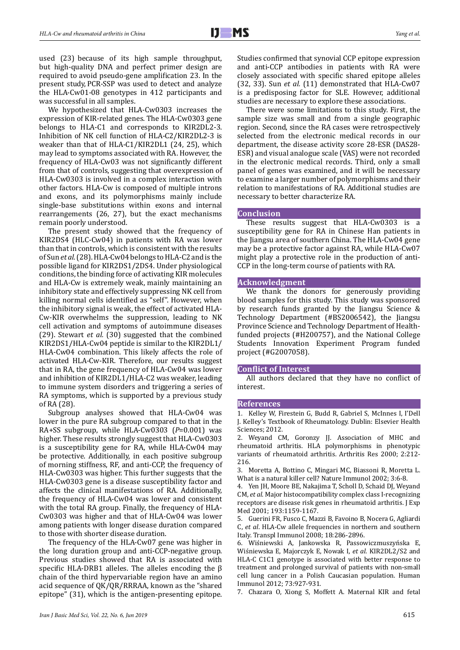used (23) because of its high sample throughput, but high-quality DNA and perfect primer design are required to avoid pseudo-gene amplification 23. In the present study, PCR-SSP was used to detect and analyze the HLA-Cw01-08 genotypes in 412 participants and was successful in all samples.

We hypothesized that HLA-Cw0303 increases the expression of KIR-related genes. The HLA-Cw0303 gene belongs to HLA-C1 and corresponds to KIR2DL2-3. Inhibition of NK cell function of HLA-C2/KIR2DL2-3 is weaker than that of HLA-C1/KIR2DL1 (24, 25), which may lead to symptoms associated with RA. However, the frequency of HLA-Cw03 was not significantly different from that of controls, suggesting that overexpression of HLA-Cw0303 is involved in a complex interaction with other factors. HLA-Cw is composed of multiple introns and exons, and its polymorphisms mainly include single-base substitutions within exons and internal rearrangements (26, 27), but the exact mechanisms remain poorly understood.

The present study showed that the frequency of KIR2DS4 (HLC-Cw04) in patients with RA was lower than that in controls, which is consistent with the results of Sun *et al.* (28). HLA-Cw04 belongs to HLA-C2 and is the possible ligand for KIR2DS1/2DS4. Under physiological conditions, the binding force of activating KIR molecules and HLA-Cw is extremely weak, mainly maintaining an inhibitory state and effectively suppressing NK cell from killing normal cells identified as "self". However, when the inhibitory signal is weak, the effect of activated HLA-Cw-KIR overwhelms the suppression, leading to NK cell activation and symptoms of autoimmune diseases (29). Stewart *et al.* (30) suggested that the combined KIR2DS1/HLA-Cw04 peptide is similar to the KIR2DL1/ HLA-Cw04 combination. This likely affects the role of activated HLA-Cw-KIR. Therefore, our results suggest that in RA, the gene frequency of HLA-Cw04 was lower and inhibition of KIR2DL1/HLA-C2 was weaker, leading to immune system disorders and triggering a series of RA symptoms, which is supported by a previous study of RA (28).

Subgroup analyses showed that HLA-Cw04 was lower in the pure RA subgroup compared to that in the RA+SS subgroup, while HLA-Cw0303 (*P*=0.001) was higher. These results strongly suggest that HLA-Cw0303 is a susceptibility gene for RA, while HLA-Cw04 may be protective. Additionally, in each positive subgroup of morning stiffness, RF, and anti-CCP, the frequency of HLA-Cw0303 was higher. This further suggests that the HLA-Cw0303 gene is a disease susceptibility factor and affects the clinical manifestations of RA. Additionally, the frequency of HLA-Cw04 was lower and consistent with the total RA group. Finally, the frequency of HLA-Cw0303 was higher and that of HLA-Cw04 was lower among patients with longer disease duration compared to those with shorter disease duration.

The frequency of the HLA-Cw07 gene was higher in the long duration group and anti-CCP-negative group. Previous studies showed that RA is associated with specific HLA-DRB1 alleles. The alleles encoding the β chain of the third hypervariable region have an amino acid sequence of QK/QR/RRRAA, known as the "shared epitope" (31), which is the antigen-presenting epitope. Studies confirmed that synovial CCP epitope expression and anti-CCP antibodies in patients with RA were closely associated with specific shared epitope alleles (32, 33). Sun *et al.* (11) demonstrated that HLA-Cw07 is a predisposing factor for SLE. However, additional studies are necessary to explore these associations.

There were some limitations to this study. First, the sample size was small and from a single geographic region. Second, since the RA cases were retrospectively selected from the electronic medical records in our department, the disease activity score 28-ESR (DAS28- ESR) and visual analogue scale (VAS) were not recorded in the electronic medical records. Third, only a small panel of genes was examined, and it will be necessary to examine a larger number of polymorphisms and their relation to manifestations of RA. Additional studies are necessary to better characterize RA.

## **Conclusion**

These results suggest that HLA-Cw0303 is a susceptibility gene for RA in Chinese Han patients in the Jiangsu area of southern China. The HLA-Cw04 gene may be a protective factor against RA, while HLA-Cw07 might play a protective role in the production of anti-CCP in the long-term course of patients with RA.

## **Acknowledgment**

We thank the donors for generously providing blood samples for this study. This study was sponsored by research funds granted by the Jiangsu Science & Technology Department (#BS2006542), the Jiangsu Province Science and Technology Department of Healthfunded projects (#H200757), and the National College Students Innovation Experiment Program funded project (#G2007058).

#### **Conflict of Interest**

All authors declared that they have no conflict of interest.

#### **References**

1. Kelley W, Firestein G, Budd R, Gabriel S, McInnes I, I'Dell J. Kelley's Textbook of Rheumatology. Dublin: Elsevier Health Sciences: 2012

2. Weyand CM, Goronzy JJ. Association of MHC and rheumatoid arthritis. HLA polymorphisms in phenotypic variants of rheumatoid arthritis. Arthritis Res 2000; 2:212- 216.

3. Moretta A, Bottino C, Mingari MC, Biassoni R, Moretta L. What is a natural killer cell? Nature Immunol 2002; 3:6-8.

4. Yen JH, Moore BE, Nakajima T, Scholl D, Schaid DJ, Weyand CM, *et al*. Major histocompatibility complex class I-recognizing receptors are disease risk genes in rheumatoid arthritis. J Exp Med 2001; 193:1159-1167.

5. Guerini FR, Fusco C, Mazzi B, Favoino B, Nocera G, Agliardi C, *et al*. HLA-Cw allele frequencies in northern and southern Italy. Transpl Immunol 2008; 18:286-2896.

6. Wiśniewski A, Jankowska R, Passowiczmuszyńska E, Wiśniewska E, Majorczyk E, Nowak I, *et al*. KIR2DL2/S2 and HLA-C C1C1 genotype is associated with better response to treatment and prolonged survival of patients with non-small cell lung cancer in a Polish Caucasian population. Human Immunol 2012; 73:927-931.

7. Chazara O, Xiong S, Moffett A. Maternal KIR and fetal